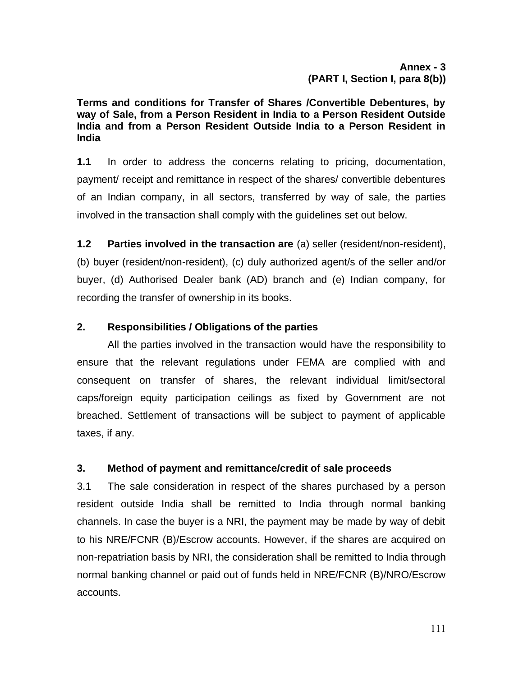**Terms and conditions for Transfer of Shares /Convertible Debentures, by way of Sale, from a Person Resident in India to a Person Resident Outside India and from a Person Resident Outside India to a Person Resident in India**

**1.1** In order to address the concerns relating to pricing, documentation, payment/ receipt and remittance in respect of the shares/ convertible debentures of an Indian company, in all sectors, transferred by way of sale, the parties involved in the transaction shall comply with the guidelines set out below.

**1.2 Parties involved in the transaction are** (a) seller (resident/non-resident),

(b) buyer (resident/non-resident), (c) duly authorized agent/s of the seller and/or buyer, (d) Authorised Dealer bank (AD) branch and (e) Indian company, for recording the transfer of ownership in its books.

# **2. Responsibilities / Obligations of the parties**

All the parties involved in the transaction would have the responsibility to ensure that the relevant regulations under FEMA are complied with and consequent on transfer of shares, the relevant individual limit/sectoral caps/foreign equity participation ceilings as fixed by Government are not breached. Settlement of transactions will be subject to payment of applicable taxes, if any.

# **3. Method of payment and remittance/credit of sale proceeds**

3.1 The sale consideration in respect of the shares purchased by a person resident outside India shall be remitted to India through normal banking channels. In case the buyer is a NRI, the payment may be made by way of debit to his NRE/FCNR (B)/Escrow accounts. However, if the shares are acquired on non-repatriation basis by NRI, the consideration shall be remitted to India through normal banking channel or paid out of funds held in NRE/FCNR (B)/NRO/Escrow accounts.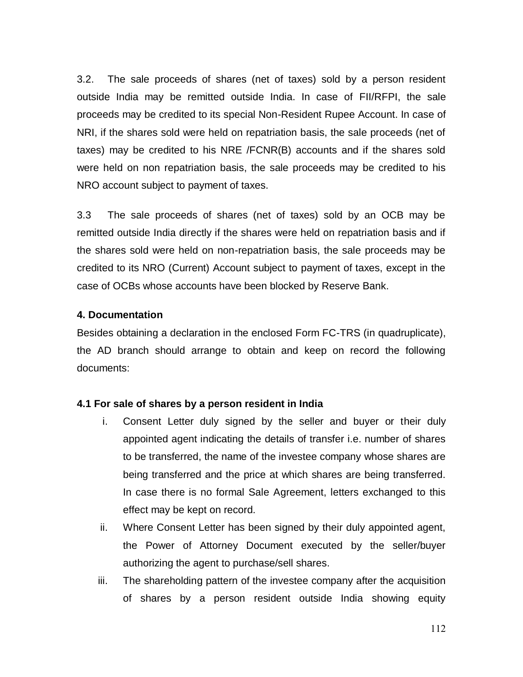3.2. The sale proceeds of shares (net of taxes) sold by a person resident outside India may be remitted outside India. In case of FII/RFPI, the sale proceeds may be credited to its special Non-Resident Rupee Account. In case of NRI, if the shares sold were held on repatriation basis, the sale proceeds (net of taxes) may be credited to his NRE /FCNR(B) accounts and if the shares sold were held on non repatriation basis, the sale proceeds may be credited to his NRO account subject to payment of taxes.

3.3 The sale proceeds of shares (net of taxes) sold by an OCB may be remitted outside India directly if the shares were held on repatriation basis and if the shares sold were held on non-repatriation basis, the sale proceeds may be credited to its NRO (Current) Account subject to payment of taxes, except in the case of OCBs whose accounts have been blocked by Reserve Bank.

#### **4. Documentation**

Besides obtaining a declaration in the enclosed Form FC-TRS (in quadruplicate), the AD branch should arrange to obtain and keep on record the following documents:

### **4.1 For sale of shares by a person resident in India**

- i. Consent Letter duly signed by the seller and buyer or their duly appointed agent indicating the details of transfer i.e. number of shares to be transferred, the name of the investee company whose shares are being transferred and the price at which shares are being transferred. In case there is no formal Sale Agreement, letters exchanged to this effect may be kept on record.
- ii. Where Consent Letter has been signed by their duly appointed agent, the Power of Attorney Document executed by the seller/buyer authorizing the agent to purchase/sell shares.
- iii. The shareholding pattern of the investee company after the acquisition of shares by a person resident outside India showing equity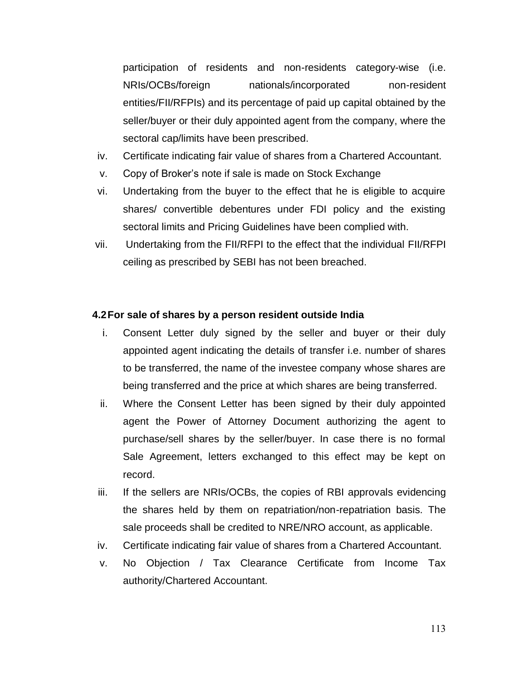participation of residents and non-residents category-wise (i.e. NRIs/OCBs/foreign nationals/incorporated non-resident entities/FII/RFPIs) and its percentage of paid up capital obtained by the seller/buyer or their duly appointed agent from the company, where the sectoral cap/limits have been prescribed.

- iv. Certificate indicating fair value of shares from a Chartered Accountant.
- v. Copy of Broker's note if sale is made on Stock Exchange
- vi. Undertaking from the buyer to the effect that he is eligible to acquire shares/ convertible debentures under FDI policy and the existing sectoral limits and Pricing Guidelines have been complied with.
- vii. Undertaking from the FII/RFPI to the effect that the individual FII/RFPI ceiling as prescribed by SEBI has not been breached.

### **4.2For sale of shares by a person resident outside India**

- i. Consent Letter duly signed by the seller and buyer or their duly appointed agent indicating the details of transfer i.e. number of shares to be transferred, the name of the investee company whose shares are being transferred and the price at which shares are being transferred.
- ii. Where the Consent Letter has been signed by their duly appointed agent the Power of Attorney Document authorizing the agent to purchase/sell shares by the seller/buyer. In case there is no formal Sale Agreement, letters exchanged to this effect may be kept on record.
- iii. If the sellers are NRIs/OCBs, the copies of RBI approvals evidencing the shares held by them on repatriation/non-repatriation basis. The sale proceeds shall be credited to NRE/NRO account, as applicable.
- iv. Certificate indicating fair value of shares from a Chartered Accountant.
- v. No Objection / Tax Clearance Certificate from Income Tax authority/Chartered Accountant.